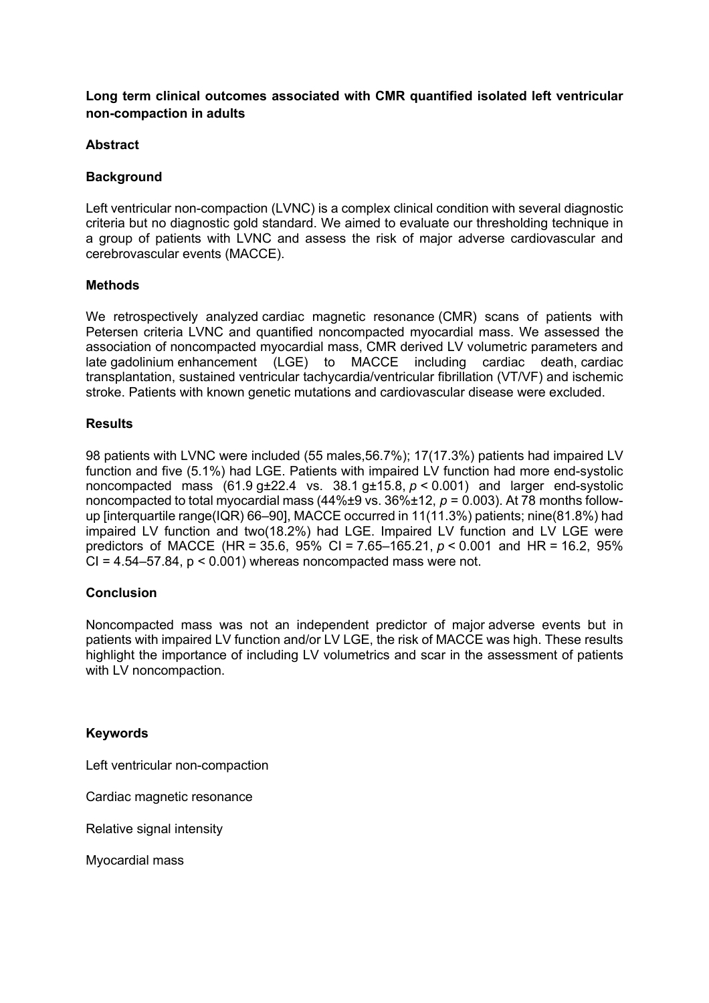## **Long term clinical outcomes associated with CMR quantified isolated left ventricular non-compaction in adults**

## **Abstract**

## **Background**

Left ventricular non-compaction (LVNC) is a complex clinical condition with several diagnostic criteria but no diagnostic gold standard. We aimed to evaluate our thresholding technique in a group of patients with LVNC and assess the risk of major adverse cardiovascular and cerebrovascular events (MACCE).

#### **Methods**

We retrospectively analyzed cardiac magnetic resonance (CMR) scans of patients with Petersen criteria LVNC and quantified noncompacted myocardial mass. We assessed the association of noncompacted myocardial mass, CMR derived LV volumetric parameters and late gadolinium enhancement (LGE) to MACCE including cardiac death, cardiac transplantation, sustained ventricular tachycardia/ventricular fibrillation (VT/VF) and ischemic stroke. Patients with known genetic mutations and cardiovascular disease were excluded.

#### **Results**

98 patients with LVNC were included (55 males,56.7%); 17(17.3%) patients had impaired LV function and five (5.1%) had LGE. Patients with impaired LV function had more end-systolic noncompacted mass (61.9 g±22.4 vs. 38.1 g±15.8, *p* < 0.001) and larger end-systolic noncompacted to total myocardial mass  $(44\frac{6}{12}$  vs.  $36\frac{6}{12}$ ,  $p = 0.003$ ). At 78 months followup [interquartile range(IQR) 66–90], MACCE occurred in 11(11.3%) patients; nine(81.8%) had impaired LV function and two(18.2%) had LGE. Impaired LV function and LV LGE were predictors of MACCE (HR = 35.6, 95% CI = 7.65–165.21, *p* < 0.001 and HR = 16.2, 95%  $CI = 4.54 - 57.84$ ,  $p < 0.001$ ) whereas noncompacted mass were not.

## **Conclusion**

Noncompacted mass was not an independent predictor of major adverse events but in patients with impaired LV function and/or LV LGE, the risk of MACCE was high. These results highlight the importance of including LV volumetrics and scar in the assessment of patients with LV noncompaction.

## **Keywords**

Left ventricular non-compaction

Cardiac magnetic resonance

Relative signal intensity

Myocardial mass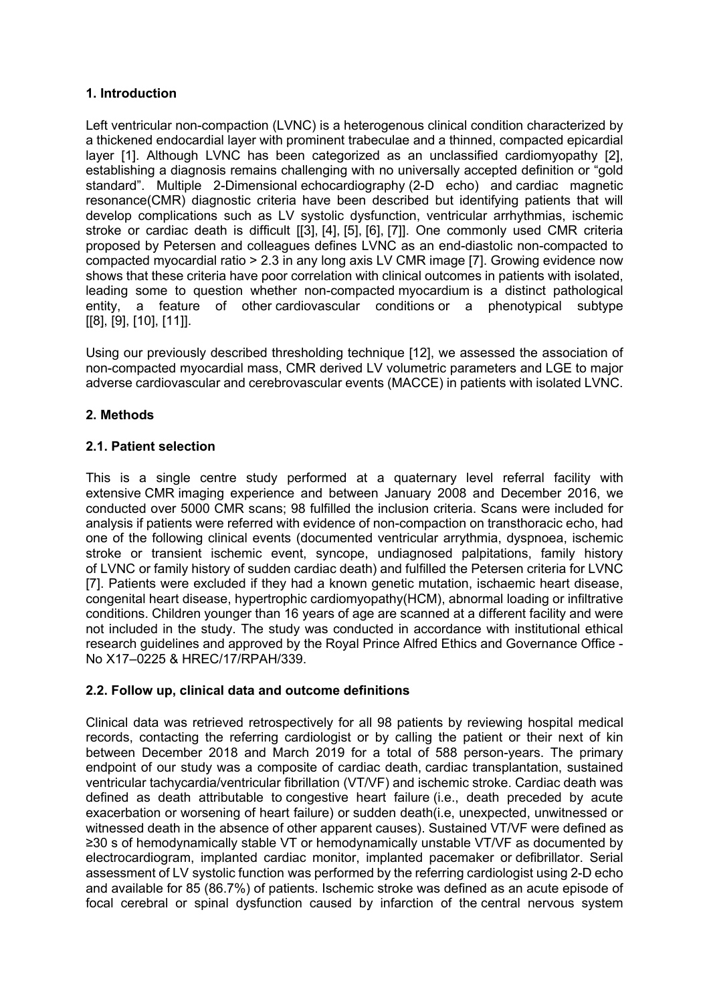## **1. Introduction**

Left ventricular non-compaction (LVNC) is a heterogenous clinical condition characterized by a thickened endocardial layer with prominent trabeculae and a thinned, compacted epicardial layer [1]. Although LVNC has been categorized as an unclassified cardiomyopathy [2], establishing a diagnosis remains challenging with no universally accepted definition or "gold standard". Multiple 2-Dimensional echocardiography (2-D echo) and cardiac magnetic resonance(CMR) diagnostic criteria have been described but identifying patients that will develop complications such as LV systolic dysfunction, ventricular arrhythmias, ischemic stroke or cardiac death is difficult [[3], [4], [5], [6], [7]]. One commonly used CMR criteria proposed by Petersen and colleagues defines LVNC as an end-diastolic non-compacted to compacted myocardial ratio > 2.3 in any long axis LV CMR image [7]. Growing evidence now shows that these criteria have poor correlation with clinical outcomes in patients with isolated, leading some to question whether non-compacted myocardium is a distinct pathological entity, a feature of other cardiovascular conditions or a phenotypical subtype [[8], [9], [10], [11]].

Using our previously described thresholding technique [12], we assessed the association of non-compacted myocardial mass, CMR derived LV volumetric parameters and LGE to major adverse cardiovascular and cerebrovascular events (MACCE) in patients with isolated LVNC.

## **2. Methods**

## **2.1. Patient selection**

This is a single centre study performed at a quaternary level referral facility with extensive CMR imaging experience and between January 2008 and December 2016, we conducted over 5000 CMR scans; 98 fulfilled the inclusion criteria. Scans were included for analysis if patients were referred with evidence of non-compaction on transthoracic echo, had one of the following clinical events (documented ventricular arrythmia, dyspnoea, ischemic stroke or transient ischemic event, syncope, undiagnosed palpitations, family history of LVNC or family history of sudden cardiac death) and fulfilled the Petersen criteria for LVNC [7]. Patients were excluded if they had a known genetic mutation, ischaemic heart disease, congenital heart disease, hypertrophic cardiomyopathy(HCM), abnormal loading or infiltrative conditions. Children younger than 16 years of age are scanned at a different facility and were not included in the study. The study was conducted in accordance with institutional ethical research guidelines and approved by the Royal Prince Alfred Ethics and Governance Office - No X17–0225 & HREC/17/RPAH/339.

# **2.2. Follow up, clinical data and outcome definitions**

Clinical data was retrieved retrospectively for all 98 patients by reviewing hospital medical records, contacting the referring cardiologist or by calling the patient or their next of kin between December 2018 and March 2019 for a total of 588 person-years. The primary endpoint of our study was a composite of cardiac death, cardiac transplantation, sustained ventricular tachycardia/ventricular fibrillation (VT/VF) and ischemic stroke. Cardiac death was defined as death attributable to congestive heart failure (i.e., death preceded by acute exacerbation or worsening of heart failure) or sudden death(i.e, unexpected, unwitnessed or witnessed death in the absence of other apparent causes). Sustained VT/VF were defined as ≥30 s of hemodynamically stable VT or hemodynamically unstable VT/VF as documented by electrocardiogram, implanted cardiac monitor, implanted pacemaker or defibrillator. Serial assessment of LV systolic function was performed by the referring cardiologist using 2-D echo and available for 85 (86.7%) of patients. Ischemic stroke was defined as an acute episode of focal cerebral or spinal dysfunction caused by infarction of the central nervous system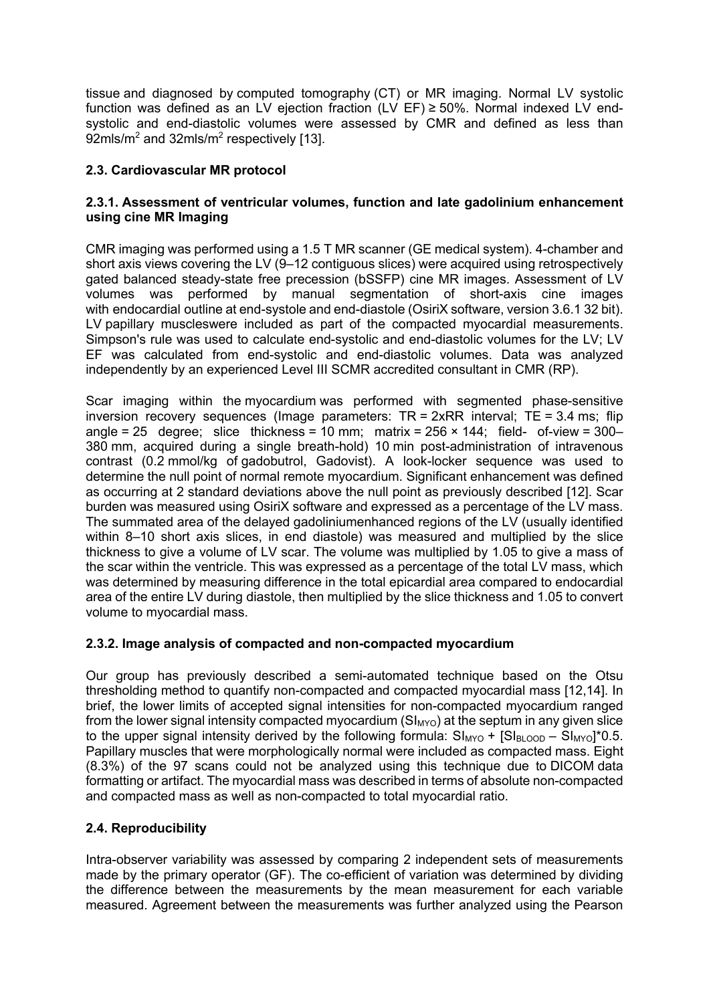tissue and diagnosed by computed tomography (CT) or MR imaging. Normal LV systolic function was defined as an LV ejection fraction  $(LV EF) \ge 50\%$ . Normal indexed LV endsystolic and end-diastolic volumes were assessed by CMR and defined as less than 92mls/m<sup>2</sup> and 32mls/m<sup>2</sup> respectively [13].

# **2.3. Cardiovascular MR protocol**

## **2.3.1. Assessment of ventricular volumes, function and late gadolinium enhancement using cine MR Imaging**

CMR imaging was performed using a 1.5 T MR scanner (GE medical system). 4-chamber and short axis views covering the LV (9–12 contiguous slices) were acquired using retrospectively gated balanced steady-state free precession (bSSFP) cine MR images. Assessment of LV volumes was performed by manual segmentation of short-axis cine images with endocardial outline at end-systole and end-diastole (OsiriX software, version 3.6.1 32 bit). LV papillary muscleswere included as part of the compacted myocardial measurements. Simpson's rule was used to calculate end-systolic and end-diastolic volumes for the LV; LV EF was calculated from end-systolic and end-diastolic volumes. Data was analyzed independently by an experienced Level III SCMR accredited consultant in CMR (RP).

Scar imaging within the myocardium was performed with segmented phase-sensitive inversion recovery sequences (Image parameters:  $TR = 2xRR$  interval;  $TE = 3.4$  ms; flip angle = 25 degree; slice thickness = 10 mm; matrix =  $256 \times 144$ ; field- of-view =  $300-$ 380 mm, acquired during a single breath-hold) 10 min post-administration of intravenous contrast (0.2 mmol/kg of gadobutrol, Gadovist). A look-locker sequence was used to determine the null point of normal remote myocardium. Significant enhancement was defined as occurring at 2 standard deviations above the null point as previously described [12]. Scar burden was measured using OsiriX software and expressed as a percentage of the LV mass. The summated area of the delayed gadoliniumenhanced regions of the LV (usually identified within 8–10 short axis slices, in end diastole) was measured and multiplied by the slice thickness to give a volume of LV scar. The volume was multiplied by 1.05 to give a mass of the scar within the ventricle. This was expressed as a percentage of the total LV mass, which was determined by measuring difference in the total epicardial area compared to endocardial area of the entire LV during diastole, then multiplied by the slice thickness and 1.05 to convert volume to myocardial mass.

# **2.3.2. Image analysis of compacted and non-compacted myocardium**

Our group has previously described a semi-automated technique based on the Otsu thresholding method to quantify non-compacted and compacted myocardial mass [12,14]. In brief, the lower limits of accepted signal intensities for non-compacted myocardium ranged from the lower signal intensity compacted myocardium  $(SI_{MYO})$  at the septum in any given slice to the upper signal intensity derived by the following formula:  $SI_{MYO} + [SI_{BLOOD} - SI_{MYO}]^*0.5$ . Papillary muscles that were morphologically normal were included as compacted mass. Eight (8.3%) of the 97 scans could not be analyzed using this technique due to DICOM data formatting or artifact. The myocardial mass was described in terms of absolute non-compacted and compacted mass as well as non-compacted to total myocardial ratio.

# **2.4. Reproducibility**

Intra-observer variability was assessed by comparing 2 independent sets of measurements made by the primary operator (GF). The co-efficient of variation was determined by dividing the difference between the measurements by the mean measurement for each variable measured. Agreement between the measurements was further analyzed using the Pearson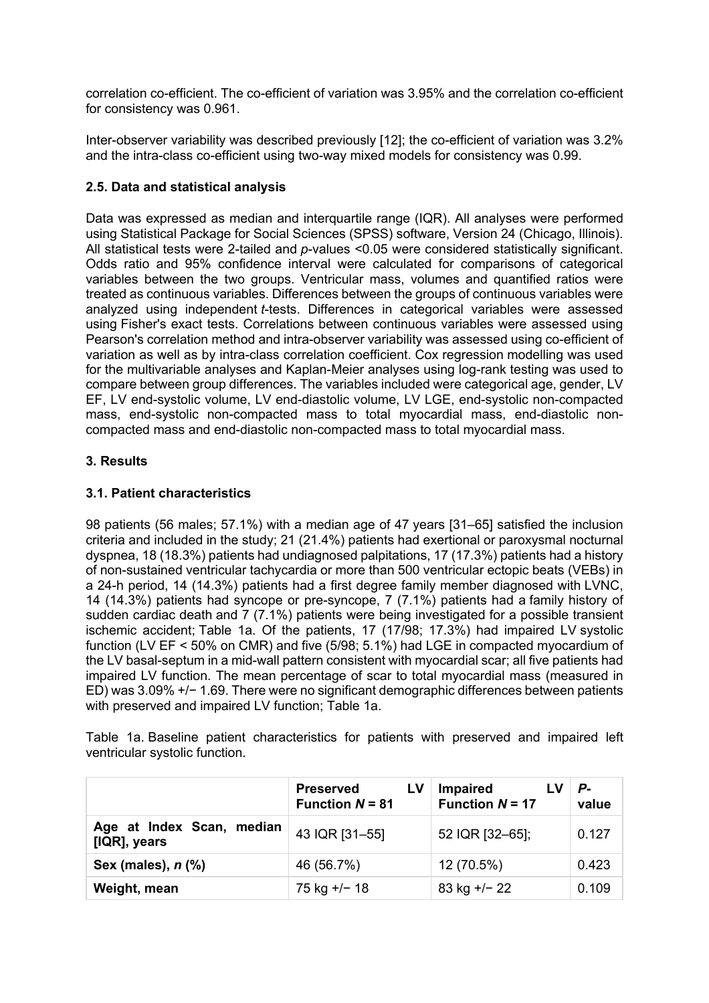correlation co-efficient. The co-efficient of variation was 3.95% and the correlation co-efficient for consistency was 0.961.

Inter-observer variability was described previously [12]; the co-efficient of variation was 3.2% and the intra-class co-efficient using two-way mixed models for consistency was 0.99.

## **2.5. Data and statistical analysis**

Data was expressed as median and interquartile range (IQR). All analyses were performed using Statistical Package for Social Sciences (SPSS) software, Version 24 (Chicago, Illinois). All statistical tests were 2-tailed and *p*-values <0.05 were considered statistically significant. Odds ratio and 95% confidence interval were calculated for comparisons of categorical variables between the two groups. Ventricular mass, volumes and quantified ratios were treated as continuous variables. Differences between the groups of continuous variables were analyzed using independent *t*-tests. Differences in categorical variables were assessed using Fisher's exact tests. Correlations between continuous variables were assessed using Pearson's correlation method and intra-observer variability was assessed using co-efficient of variation as well as by intra-class correlation coefficient. Cox regression modelling was used for the multivariable analyses and Kaplan-Meier analyses using log-rank testing was used to compare between group differences. The variables included were categorical age, gender, LV EF, LV end-systolic volume, LV end-diastolic volume, LV LGE, end-systolic non-compacted mass, end-systolic non-compacted mass to total myocardial mass, end-diastolic noncompacted mass and end-diastolic non-compacted mass to total myocardial mass.

## **3. Results**

## **3.1. Patient characteristics**

98 patients (56 males; 57.1%) with a median age of 47 years [31–65] satisfied the inclusion criteria and included in the study; 21 (21.4%) patients had exertional or paroxysmal nocturnal dyspnea, 18 (18.3%) patients had undiagnosed palpitations, 17 (17.3%) patients had a history of non-sustained ventricular tachycardia or more than 500 ventricular ectopic beats (VEBs) in a 24-h period, 14 (14.3%) patients had a first degree family member diagnosed with LVNC, 14 (14.3%) patients had syncope or pre-syncope, 7 (7.1%) patients had a family history of sudden cardiac death and 7 (7.1%) patients were being investigated for a possible transient ischemic accident; Table 1a. Of the patients, 17 (17/98; 17.3%) had impaired LV systolic function (LV EF < 50% on CMR) and five (5/98; 5.1%) had LGE in compacted myocardium of the LV basal-septum in a mid-wall pattern consistent with myocardial scar; all five patients had impaired LV function. The mean percentage of scar to total myocardial mass (measured in ED) was 3.09% +/− 1.69. There were no significant demographic differences between patients with preserved and impaired LV function; Table 1a.

Table 1a. Baseline patient characteristics for patients with preserved and impaired left ventricular systolic function.

|                                           | LV<br><b>Preserved</b><br><b>Function <math>N = 81</math></b> | <b>Impaired</b><br><b>Function <math>N = 17</math></b> | Р-<br>value |
|-------------------------------------------|---------------------------------------------------------------|--------------------------------------------------------|-------------|
| Age at Index Scan, median<br>[IQR], years | 43 IQR [31-55]                                                | 52 IQR [32-65];                                        | 0.127       |
| Sex (males), n (%)                        | 46 (56.7%)                                                    | 12 (70.5%)                                             | 0.423       |
| Weight, mean                              | 75 kg +/- 18                                                  | 83 kg +/- 22                                           | 0.109       |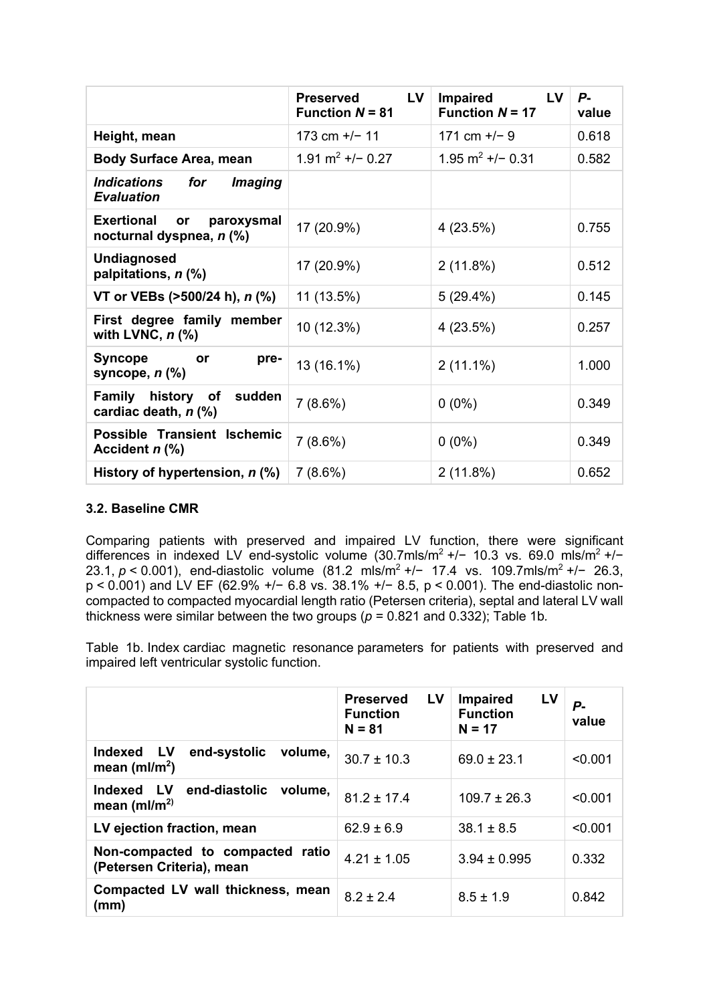|                                                                          | LV<br><b>Preserved</b><br><b>Function <math>N = 81</math></b> | <b>Impaired</b><br>LV.<br><b>Function <math>N = 17</math></b> | Р-<br>value |
|--------------------------------------------------------------------------|---------------------------------------------------------------|---------------------------------------------------------------|-------------|
| Height, mean                                                             | 173 cm $+/-$ 11                                               | 171 cm $+/-$ 9                                                | 0.618       |
| <b>Body Surface Area, mean</b>                                           | 1.91 $m^2$ +/- 0.27                                           | 1.95 $m^2$ +/- 0.31                                           | 0.582       |
| <i><b>Indications</b></i><br>for<br><i>Imaging</i><br><b>Evaluation</b>  |                                                               |                                                               |             |
| <b>Exertional</b><br>paroxysmal<br><b>or</b><br>nocturnal dyspnea, n (%) | 17 (20.9%)                                                    | 4(23.5%)                                                      | 0.755       |
| <b>Undiagnosed</b><br>palpitations, n (%)                                | 17 (20.9%)                                                    | $2(11.8\%)$                                                   | 0.512       |
| VT or VEBs (>500/24 h), <i>n</i> (%)                                     | 11 (13.5%)                                                    | 5(29.4%)                                                      | 0.145       |
| First degree family member<br>with LVNC, $n$ $\left(\% \right)$          | 10 (12.3%)                                                    | 4(23.5%)                                                      | 0.257       |
| <b>Syncope</b><br>pre-<br>or<br>syncope, $n$ $%$                         | 13 (16.1%)                                                    | $2(11.1\%)$                                                   | 1.000       |
| Family history of sudden<br>cardiac death, n (%)                         | $7(8.6\%)$                                                    | $0(0\%)$                                                      | 0.349       |
| Possible Transient Ischemic<br>Accident n (%)                            | $7(8.6\%)$                                                    | $0(0\%)$                                                      | 0.349       |
| History of hypertension, n (%)                                           | 7(8.6%)                                                       | $2(11.8\%)$                                                   | 0.652       |

## **3.2. Baseline CMR**

Comparing patients with preserved and impaired LV function, there were significant differences in indexed LV end-systolic volume (30.7mls/m2 +/− 10.3 vs. 69.0 mls/m2 +/− 23.1, *p* < 0.001), end-diastolic volume (81.2 mls/m<sup>2</sup> +/− 17.4 vs. 109.7mls/m<sup>2</sup> +/− 26.3, p < 0.001) and LV EF (62.9% +/− 6.8 vs. 38.1% +/− 8.5, p < 0.001). The end-diastolic noncompacted to compacted myocardial length ratio (Petersen criteria), septal and lateral LV wall thickness were similar between the two groups ( $p = 0.821$  and 0.332); Table 1b.

Table 1b. Index cardiac magnetic resonance parameters for patients with preserved and impaired left ventricular systolic function.

|                                                                                     | LV<br><b>Preserved</b><br><b>Function</b><br>$N = 81$ | LV<br><b>Impaired</b><br><b>Function</b><br>$N = 17$ | Р-<br>value |
|-------------------------------------------------------------------------------------|-------------------------------------------------------|------------------------------------------------------|-------------|
| <b>Indexed</b><br><b>LV</b><br>end-systolic<br>volume,<br>mean (ml/m <sup>2</sup> ) | $30.7 \pm 10.3$                                       | $69.0 \pm 23.1$                                      | < 0.001     |
| Indexed LV<br>end-diastolic volume,<br>mean (ml/m <sup>2)</sup>                     | $81.2 \pm 17.4$                                       | $109.7 \pm 26.3$                                     | < 0.001     |
| LV ejection fraction, mean                                                          | $62.9 \pm 6.9$                                        | $38.1 \pm 8.5$                                       | < 0.001     |
| Non-compacted to compacted ratio<br>(Petersen Criteria), mean                       | $4.21 \pm 1.05$                                       | $3.94 \pm 0.995$                                     | 0.332       |
| Compacted LV wall thickness, mean<br>(mm)                                           | $8.2 \pm 2.4$                                         | $8.5 \pm 1.9$                                        | 0.842       |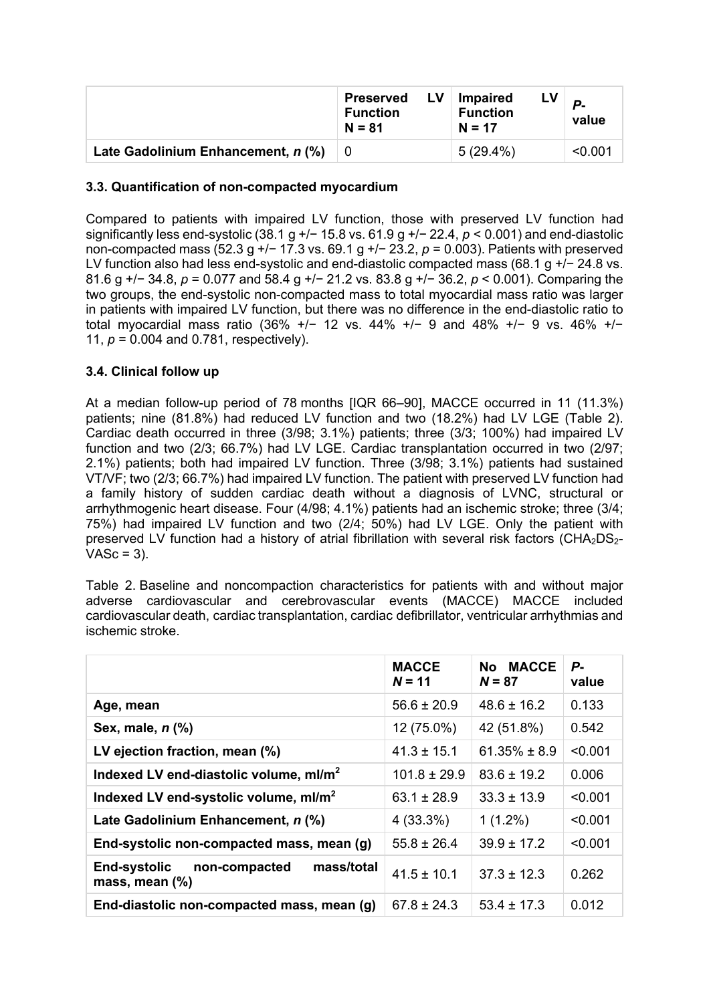|                                    | LV.<br><b>Preserved</b><br><b>Function</b><br>$N = 81$ | <b>Impaired</b><br><b>Function</b><br>$N = 17$ | $\mathbf{p}_{\bullet}$<br>value |
|------------------------------------|--------------------------------------------------------|------------------------------------------------|---------------------------------|
| Late Gadolinium Enhancement, n (%) |                                                        | 5 (29.4%)                                      | < 0.001                         |

## **3.3. Quantification of non-compacted myocardium**

Compared to patients with impaired LV function, those with preserved LV function had significantly less end-systolic (38.1 g +/− 15.8 vs. 61.9 g +/− 22.4, *p* < 0.001) and end-diastolic non-compacted mass (52.3 g +/− 17.3 vs. 69.1 g +/− 23.2, *p* = 0.003). Patients with preserved LV function also had less end-systolic and end-diastolic compacted mass (68.1 g +/− 24.8 vs. 81.6 g +/− 34.8, *p* = 0.077 and 58.4 g +/− 21.2 vs. 83.8 g +/− 36.2, *p* < 0.001). Comparing the two groups, the end-systolic non-compacted mass to total myocardial mass ratio was larger in patients with impaired LV function, but there was no difference in the end-diastolic ratio to total myocardial mass ratio (36% +/− 12 vs. 44% +/− 9 and 48% +/− 9 vs. 46% +/− 11, *p* = 0.004 and 0.781, respectively).

## **3.4. Clinical follow up**

At a median follow-up period of 78 months [IQR 66–90], MACCE occurred in 11 (11.3%) patients; nine (81.8%) had reduced LV function and two (18.2%) had LV LGE (Table 2). Cardiac death occurred in three (3/98; 3.1%) patients; three (3/3; 100%) had impaired LV function and two (2/3; 66.7%) had LV LGE. Cardiac transplantation occurred in two (2/97; 2.1%) patients; both had impaired LV function. Three (3/98; 3.1%) patients had sustained VT/VF; two (2/3; 66.7%) had impaired LV function. The patient with preserved LV function had a family history of sudden cardiac death without a diagnosis of LVNC, structural or arrhythmogenic heart disease. Four (4/98; 4.1%) patients had an ischemic stroke; three (3/4; 75%) had impaired LV function and two (2/4; 50%) had LV LGE. Only the patient with preserved LV function had a history of atrial fibrillation with several risk factors ( $CHA<sub>2</sub>DS<sub>2</sub>$ - $VASC = 3$ ).

Table 2. Baseline and noncompaction characteristics for patients with and without major adverse cardiovascular and cerebrovascular events (MACCE) MACCE included cardiovascular death, cardiac transplantation, cardiac defibrillator, ventricular arrhythmias and ischemic stroke.

|                                                                      | <b>MACCE</b><br>$N = 11$ | No MACCE<br>$N = 87$ | Р-<br>value |
|----------------------------------------------------------------------|--------------------------|----------------------|-------------|
| Age, mean                                                            | $56.6 \pm 20.9$          | $48.6 \pm 16.2$      | 0.133       |
| Sex, male, $n$ $%$                                                   | 12 (75.0%)               | 42 (51.8%)           | 0.542       |
| LV ejection fraction, mean (%)                                       | $41.3 \pm 15.1$          | $61.35\% \pm 8.9$    | < 0.001     |
| Indexed LV end-diastolic volume, ml/m <sup>2</sup>                   | $101.8 \pm 29.9$         | $83.6 \pm 19.2$      | 0.006       |
| Indexed LV end-systolic volume, ml/m <sup>2</sup>                    | $63.1 \pm 28.9$          | $33.3 \pm 13.9$      | < 0.001     |
| Late Gadolinium Enhancement, n (%)                                   | $4(33.3\%)$              | $1(1.2\%)$           | < 0.001     |
| End-systolic non-compacted mass, mean (g)                            | $55.8 \pm 26.4$          | $39.9 \pm 17.2$      | < 0.001     |
| mass/total<br><b>End-systolic</b><br>non-compacted<br>mass, mean (%) | $41.5 \pm 10.1$          | $37.3 \pm 12.3$      | 0.262       |
| End-diastolic non-compacted mass, mean (g)                           | $67.8 \pm 24.3$          | $53.4 \pm 17.3$      | 0.012       |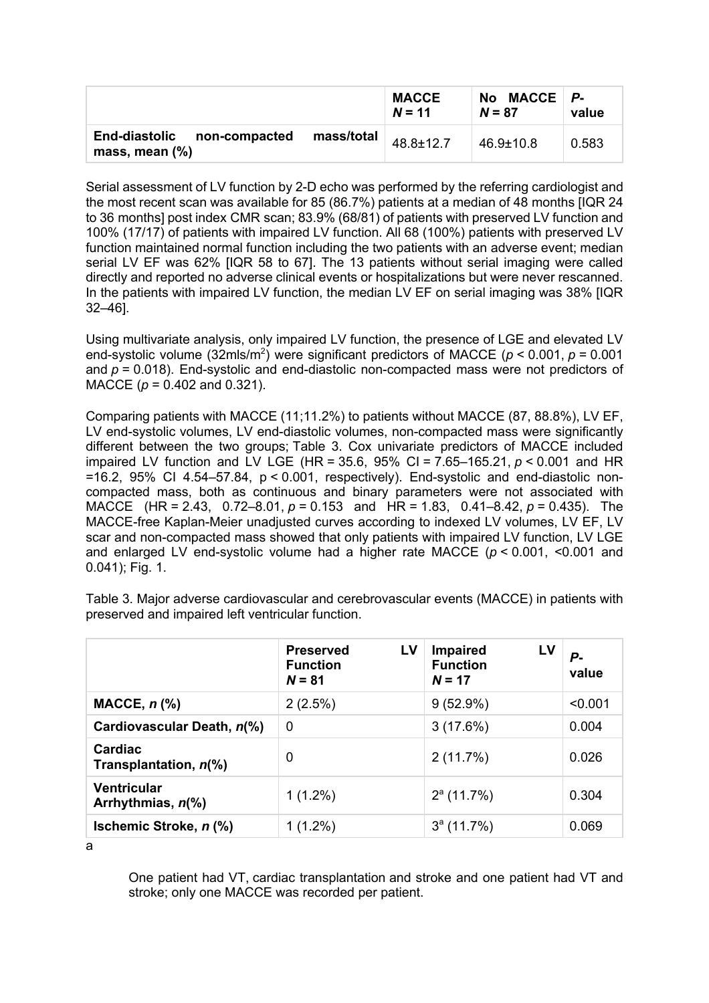|                                                            |            | <b>MACCE</b><br>$N = 11$ | No MACCE $P$ -<br>$N = 87$ | value |
|------------------------------------------------------------|------------|--------------------------|----------------------------|-------|
| <b>End-diastolic</b><br>non-compacted<br>mass, mean $(\%)$ | mass/total | 48.8±12.7                | $46.9 \pm 10.8$            | 0.583 |

Serial assessment of LV function by 2-D echo was performed by the referring cardiologist and the most recent scan was available for 85 (86.7%) patients at a median of 48 months [IQR 24 to 36 months] post index CMR scan; 83.9% (68/81) of patients with preserved LV function and 100% (17/17) of patients with impaired LV function. All 68 (100%) patients with preserved LV function maintained normal function including the two patients with an adverse event; median serial LV EF was 62% [IQR 58 to 67]. The 13 patients without serial imaging were called directly and reported no adverse clinical events or hospitalizations but were never rescanned. In the patients with impaired LV function, the median LV EF on serial imaging was 38% [IQR 32–46].

Using multivariate analysis, only impaired LV function, the presence of LGE and elevated LV end-systolic volume  $(32 \text{mls/m}^2)$  were significant predictors of MACCE ( $p < 0.001$ ,  $p = 0.001$ ) and *p* = 0.018). End-systolic and end-diastolic non-compacted mass were not predictors of MACCE (*p* = 0.402 and 0.321).

Comparing patients with MACCE (11;11.2%) to patients without MACCE (87, 88.8%), LV EF, LV end-systolic volumes, LV end-diastolic volumes, non-compacted mass were significantly different between the two groups; Table 3. Cox univariate predictors of MACCE included impaired LV function and LV LGE (HR = 35.6, 95% CI = 7.65–165.21, *p* < 0.001 and HR  $=16.2$ , 95% CI 4.54–57.84,  $p < 0.001$ , respectively). End-systolic and end-diastolic noncompacted mass, both as continuous and binary parameters were not associated with MACCE (HR = 2.43, 0.72–8.01, *p* = 0.153 and HR = 1.83, 0.41–8.42, *p* = 0.435). The MACCE-free Kaplan-Meier unadjusted curves according to indexed LV volumes, LV EF, LV scar and non-compacted mass showed that only patients with impaired LV function, LV LGE and enlarged LV end-systolic volume had a higher rate MACCE (*p* < 0.001, <0.001 and 0.041); Fig. 1.

|                                         | LV<br><b>Preserved</b><br><b>Function</b><br>$N = 81$ | LV<br><b>Impaired</b><br><b>Function</b><br>$N = 17$ | Р-<br>value |
|-----------------------------------------|-------------------------------------------------------|------------------------------------------------------|-------------|
| $MACE, n$ (%)                           | 2(2.5%)                                               | $9(52.9\%)$                                          | < 0.001     |
| Cardiovascular Death, n(%)              | $\mathbf 0$                                           | 3(17.6%)                                             | 0.004       |
| Cardiac<br>Transplantation, n(%)        | 0                                                     | 2(11.7%)                                             | 0.026       |
| <b>Ventricular</b><br>Arrhythmias, n(%) | $1(1.2\%)$                                            | $2^a$ (11.7%)                                        | 0.304       |
| Ischemic Stroke, n (%)                  | $1(1.2\%)$                                            | $3^a$ (11.7%)                                        | 0.069       |

Table 3. Major adverse cardiovascular and cerebrovascular events (MACCE) in patients with preserved and impaired left ventricular function.

a

One patient had VT, cardiac transplantation and stroke and one patient had VT and stroke; only one MACCE was recorded per patient.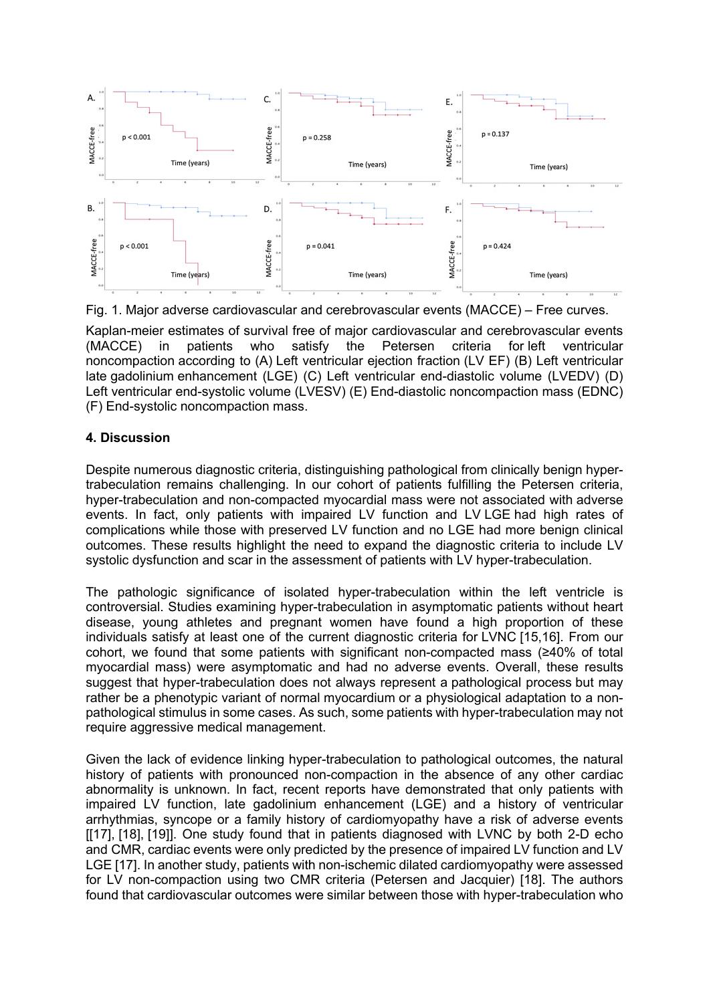

Fig. 1. Major adverse cardiovascular and cerebrovascular events (MACCE) – Free curves.

Kaplan-meier estimates of survival free of major cardiovascular and cerebrovascular events (MACCE) in patients who satisfy the Petersen criteria for left ventricular noncompaction according to (A) Left ventricular ejection fraction (LV EF) (B) Left ventricular late gadolinium enhancement (LGE) (C) Left ventricular end-diastolic volume (LVEDV) (D) Left ventricular end-systolic volume (LVESV) (E) End-diastolic noncompaction mass (EDNC) (F) End-systolic noncompaction mass.

## **4. Discussion**

Despite numerous diagnostic criteria, distinguishing pathological from clinically benign hypertrabeculation remains challenging. In our cohort of patients fulfilling the Petersen criteria, hyper-trabeculation and non-compacted myocardial mass were not associated with adverse events. In fact, only patients with impaired LV function and LV LGE had high rates of complications while those with preserved LV function and no LGE had more benign clinical outcomes. These results highlight the need to expand the diagnostic criteria to include LV systolic dysfunction and scar in the assessment of patients with LV hyper-trabeculation.

The pathologic significance of isolated hyper-trabeculation within the left ventricle is controversial. Studies examining hyper-trabeculation in asymptomatic patients without heart disease, young athletes and pregnant women have found a high proportion of these individuals satisfy at least one of the current diagnostic criteria for LVNC [15,16]. From our cohort, we found that some patients with significant non-compacted mass (≥40% of total myocardial mass) were asymptomatic and had no adverse events. Overall, these results suggest that hyper-trabeculation does not always represent a pathological process but may rather be a phenotypic variant of normal myocardium or a physiological adaptation to a nonpathological stimulus in some cases. As such, some patients with hyper-trabeculation may not require aggressive medical management.

Given the lack of evidence linking hyper-trabeculation to pathological outcomes, the natural history of patients with pronounced non-compaction in the absence of any other cardiac abnormality is unknown. In fact, recent reports have demonstrated that only patients with impaired LV function, late gadolinium enhancement (LGE) and a history of ventricular arrhythmias, syncope or a family history of cardiomyopathy have a risk of adverse events [[17], [18], [19]]. One study found that in patients diagnosed with LVNC by both 2-D echo and CMR, cardiac events were only predicted by the presence of impaired LV function and LV LGE [17]. In another study, patients with non-ischemic dilated cardiomyopathy were assessed for LV non-compaction using two CMR criteria (Petersen and Jacquier) [18]. The authors found that cardiovascular outcomes were similar between those with hyper-trabeculation who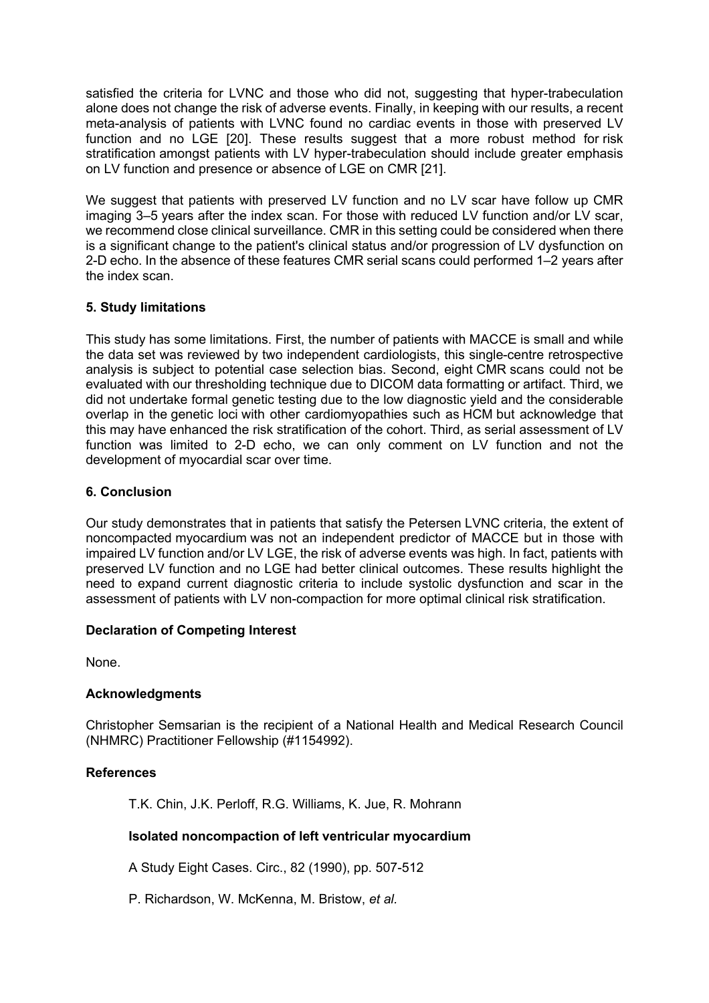satisfied the criteria for LVNC and those who did not, suggesting that hyper-trabeculation alone does not change the risk of adverse events. Finally, in keeping with our results, a recent meta-analysis of patients with LVNC found no cardiac events in those with preserved LV function and no LGE [20]. These results suggest that a more robust method for risk stratification amongst patients with LV hyper-trabeculation should include greater emphasis on LV function and presence or absence of LGE on CMR [21].

We suggest that patients with preserved LV function and no LV scar have follow up CMR imaging 3–5 years after the index scan. For those with reduced LV function and/or LV scar, we recommend close clinical surveillance. CMR in this setting could be considered when there is a significant change to the patient's clinical status and/or progression of LV dysfunction on 2-D echo. In the absence of these features CMR serial scans could performed 1–2 years after the index scan.

## **5. Study limitations**

This study has some limitations. First, the number of patients with MACCE is small and while the data set was reviewed by two independent cardiologists, this single-centre retrospective analysis is subject to potential case selection bias. Second, eight CMR scans could not be evaluated with our thresholding technique due to DICOM data formatting or artifact. Third, we did not undertake formal genetic testing due to the low diagnostic yield and the considerable overlap in the genetic loci with other cardiomyopathies such as HCM but acknowledge that this may have enhanced the risk stratification of the cohort. Third, as serial assessment of LV function was limited to 2-D echo, we can only comment on LV function and not the development of myocardial scar over time.

## **6. Conclusion**

Our study demonstrates that in patients that satisfy the Petersen LVNC criteria, the extent of noncompacted myocardium was not an independent predictor of MACCE but in those with impaired LV function and/or LV LGE, the risk of adverse events was high. In fact, patients with preserved LV function and no LGE had better clinical outcomes. These results highlight the need to expand current diagnostic criteria to include systolic dysfunction and scar in the assessment of patients with LV non-compaction for more optimal clinical risk stratification.

## **Declaration of Competing Interest**

None.

## **Acknowledgments**

Christopher Semsarian is the recipient of a National Health and Medical Research Council (NHMRC) Practitioner Fellowship (#1154992).

## **References**

T.K. Chin, J.K. Perloff, R.G. Williams, K. Jue, R. Mohrann

# **Isolated noncompaction of left ventricular myocardium**

A Study Eight Cases. Circ., 82 (1990), pp. 507-512

P. Richardson, W. McKenna, M. Bristow, *et al.*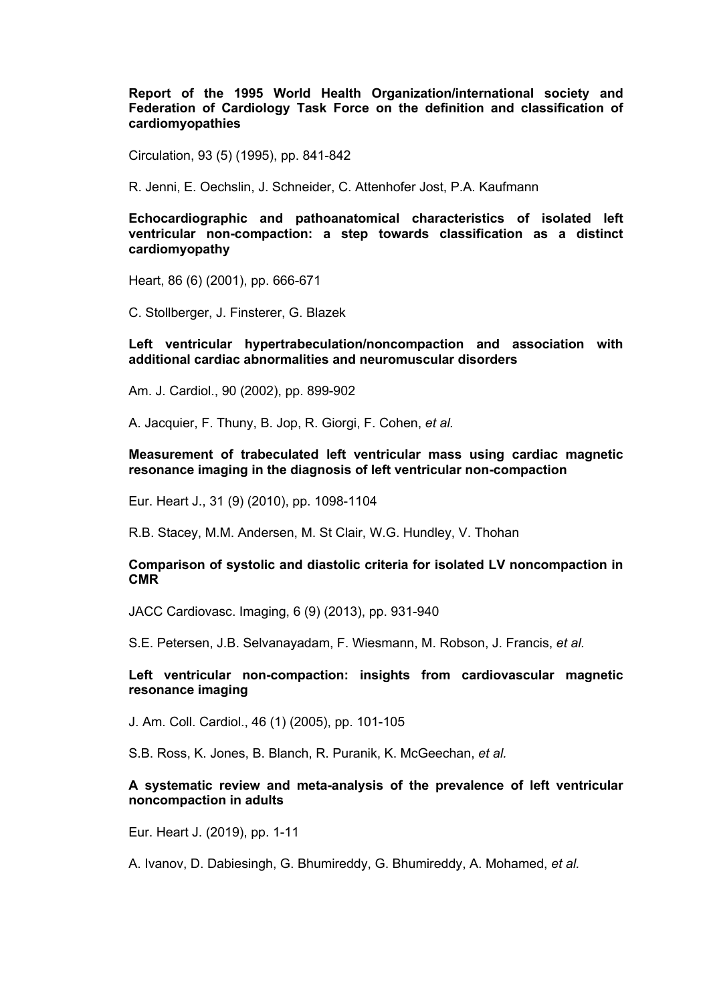**Report of the 1995 World Health Organization/international society and Federation of Cardiology Task Force on the definition and classification of cardiomyopathies**

Circulation, 93 (5) (1995), pp. 841-842

R. Jenni, E. Oechslin, J. Schneider, C. Attenhofer Jost, P.A. Kaufmann

**Echocardiographic and pathoanatomical characteristics of isolated left ventricular non-compaction: a step towards classification as a distinct cardiomyopathy**

Heart, 86 (6) (2001), pp. 666-671

C. Stollberger, J. Finsterer, G. Blazek

#### **Left ventricular hypertrabeculation/noncompaction and association with additional cardiac abnormalities and neuromuscular disorders**

Am. J. Cardiol., 90 (2002), pp. 899-902

A. Jacquier, F. Thuny, B. Jop, R. Giorgi, F. Cohen, *et al.*

**Measurement of trabeculated left ventricular mass using cardiac magnetic resonance imaging in the diagnosis of left ventricular non-compaction**

Eur. Heart J., 31 (9) (2010), pp. 1098-1104

R.B. Stacey, M.M. Andersen, M. St Clair, W.G. Hundley, V. Thohan

#### **Comparison of systolic and diastolic criteria for isolated LV noncompaction in CMR**

JACC Cardiovasc. Imaging, 6 (9) (2013), pp. 931-940

S.E. Petersen, J.B. Selvanayadam, F. Wiesmann, M. Robson, J. Francis, *et al.*

#### **Left ventricular non-compaction: insights from cardiovascular magnetic resonance imaging**

J. Am. Coll. Cardiol., 46 (1) (2005), pp. 101-105

S.B. Ross, K. Jones, B. Blanch, R. Puranik, K. McGeechan, *et al.*

#### **A systematic review and meta-analysis of the prevalence of left ventricular noncompaction in adults**

Eur. Heart J. (2019), pp. 1-11

A. Ivanov, D. Dabiesingh, G. Bhumireddy, G. Bhumireddy, A. Mohamed, *et al.*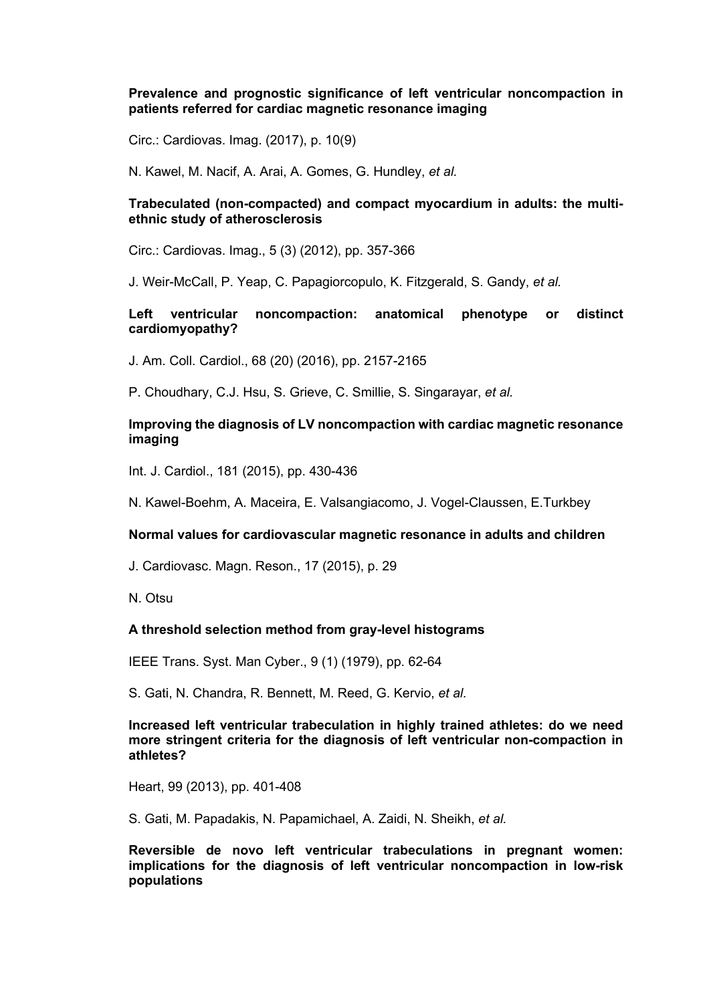#### **Prevalence and prognostic significance of left ventricular noncompaction in patients referred for cardiac magnetic resonance imaging**

Circ.: Cardiovas. Imag. (2017), p. 10(9)

N. Kawel, M. Nacif, A. Arai, A. Gomes, G. Hundley, *et al.*

## **Trabeculated (non-compacted) and compact myocardium in adults: the multiethnic study of atherosclerosis**

Circ.: Cardiovas. Imag., 5 (3) (2012), pp. 357-366

J. Weir-McCall, P. Yeap, C. Papagiorcopulo, K. Fitzgerald, S. Gandy, *et al.*

## **Left ventricular noncompaction: anatomical phenotype or distinct cardiomyopathy?**

J. Am. Coll. Cardiol., 68 (20) (2016), pp. 2157-2165

P. Choudhary, C.J. Hsu, S. Grieve, C. Smillie, S. Singarayar, *et al.*

#### **Improving the diagnosis of LV noncompaction with cardiac magnetic resonance imaging**

Int. J. Cardiol., 181 (2015), pp. 430-436

N. Kawel-Boehm, A. Maceira, E. Valsangiacomo, J. Vogel-Claussen, E.Turkbey

#### **Normal values for cardiovascular magnetic resonance in adults and children**

J. Cardiovasc. Magn. Reson., 17 (2015), p. 29

N. Otsu

## **A threshold selection method from gray-level histograms**

IEEE Trans. Syst. Man Cyber., 9 (1) (1979), pp. 62-64

S. Gati, N. Chandra, R. Bennett, M. Reed, G. Kervio, *et al.*

#### **Increased left ventricular trabeculation in highly trained athletes: do we need more stringent criteria for the diagnosis of left ventricular non-compaction in athletes?**

Heart, 99 (2013), pp. 401-408

S. Gati, M. Papadakis, N. Papamichael, A. Zaidi, N. Sheikh, *et al.*

**Reversible de novo left ventricular trabeculations in pregnant women: implications for the diagnosis of left ventricular noncompaction in low-risk populations**